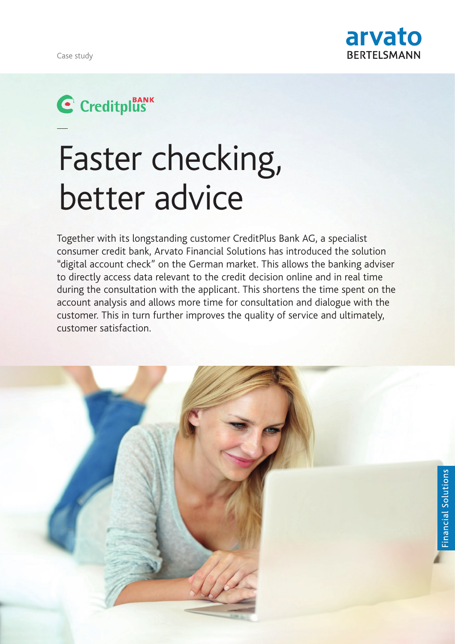

## C Creditplus

# Faster checking, better advice

Together with its longstanding customer CreditPlus Bank AG, a specialist consumer credit bank, Arvato Financial Solutions has introduced the solution "digital account check" on the German market. This allows the banking adviser to directly access data relevant to the credit decision online and in real time during the consultation with the applicant. This shortens the time spent on the account analysis and allows more time for consultation and dialogue with the customer. This in turn further improves the quality of service and ultimately, customer satisfaction.

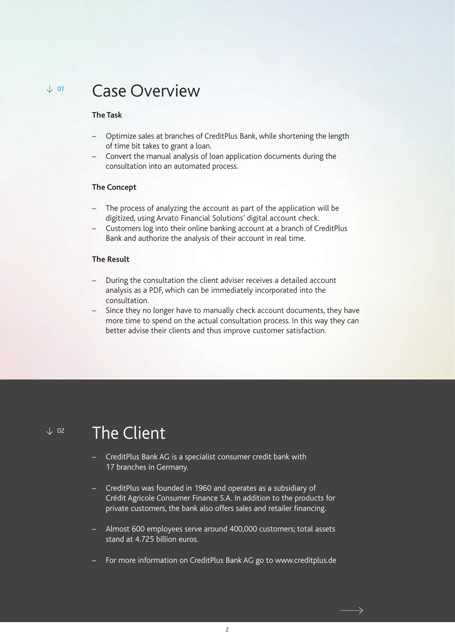#### Case Overview  $\times$  01

#### **The Task**

- Optimize sales at branches of CreditPlus Bank, while shortening the length of time bit takes to grant a loan.
- Convert the manual analysis of loan application documents during the consultation into an automated process.

#### **The Concept**

- The process of analyzing the account as part of the application will be digitized, using Arvato Financial Solutions' digital account check.
- Customers log into their online banking account at a branch of CreditPlus Bank and authorize the analysis of their account in real time.

#### **The Result**

- During the consultation the client adviser receives a detailed account analysis as a PDF, which can be immediately incorporated into the consultation.
- Since they no longer have to manually check account documents, they have more time to spend on the actual consultation process. In this way they can better advise their clients and thus improve customer satisfaction.

 $\downarrow$  02

## The Client

- CreditPlus Bank AG is a specialist consumer credit bank with 17 branches in Germany.
- CreditPlus was founded in 1960 and operates as a subsidiary of Crédit Agricole Consumer Finance S.A. In addition to the products for private customers, the bank also offers sales and retailer financing.
- Almost 600 employees serve around 400,000 customers; total assets stand at 4.725 billion euros.
- For more information on CreditPlus Bank AG go to www.creditplus.de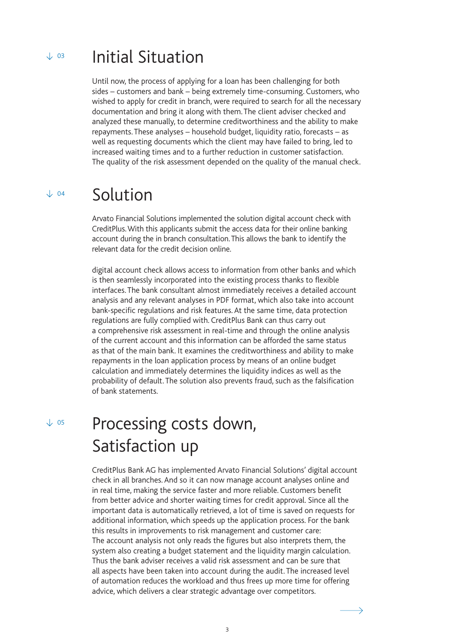#### Initial Situation  $\sqrt{03}$

Until now, the process of applying for a loan has been challenging for both sides – customers and bank – being extremely time-consuming. Customers, who wished to apply for credit in branch, were required to search for all the necessary documentation and bring it along with them. The client adviser checked and analyzed these manually, to determine creditworthiness and the ability to make repayments. These analyses – household budget, liquidity ratio, forecasts – as well as requesting documents which the client may have failed to bring, led to increased waiting times and to a further reduction in customer satisfaction. The quality of the risk assessment depended on the quality of the manual check.

## $V$  04 Solution

Arvato Financial Solutions implemented the solution digital account check with CreditPlus. With this applicants submit the access data for their online banking account during the in branch consultation. This allows the bank to identify the relevant data for the credit decision online.

digital account check allows access to information from other banks and which is then seamlessly incorporated into the existing process thanks to flexible interfaces. The bank consultant almost immediately receives a detailed account analysis and any relevant analyses in PDF format, which also take into account bank-specific regulations and risk features. At the same time, data protection regulations are fully complied with. CreditPlus Bank can thus carry out a comprehensive risk assessment in real-time and through the online analysis of the current account and this information can be afforded the same status as that of the main bank. It examines the creditworthiness and ability to make repayments in the loan application process by means of an online budget calculation and immediately determines the liquidity indices as well as the probability of default. The solution also prevents fraud, such as the falsification of bank statements.

 $\sqrt{05}$ 

## Processing costs down, Satisfaction up

CreditPlus Bank AG has implemented Arvato Financial Solutions' digital account check in all branches. And so it can now manage account analyses online and in real time, making the service faster and more reliable. Customers benefit from better advice and shorter waiting times for credit approval. Since all the important data is automatically retrieved, a lot of time is saved on requests for additional information, which speeds up the application process. For the bank this results in improvements to risk management and customer care: The account analysis not only reads the figures but also interprets them, the system also creating a budget statement and the liquidity margin calculation. Thus the bank adviser receives a valid risk assessment and can be sure that all aspects have been taken into account during the audit. The increased level of automation reduces the workload and thus frees up more time for offering advice, which delivers a clear strategic advantage over competitors.